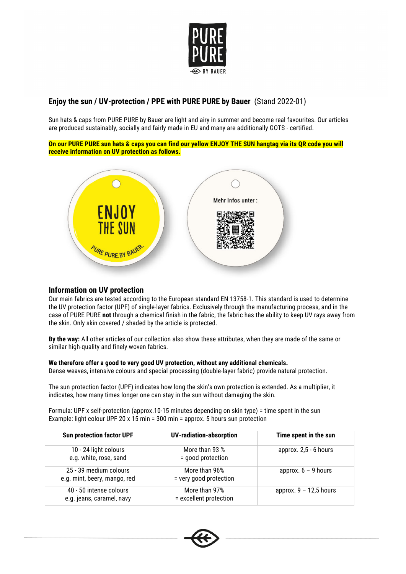

## **Enjoy the sun / UV-protection / PPE with PURE PURE by Bauer** (Stand 2022-01)

Sun hats & caps from PURE PURE by Bauer are light and airy in summer and become real favourites. Our articles are produced sustainably, socially and fairly made in EU and many are additionally GOTS - certified.

**On our PURE PURE sun hats & caps you can find our yellow ENJOY THE SUN hangtag via its QR code you will receive information on UV protection as follows.**



## **Information on UV protection**

Our main fabrics are tested according to the European standard EN 13758-1. This standard is used to determine the UV protection factor (UPF) of single-layer fabrics. Exclusively through the manufacturing process, and in the case of PURE PURE **not** through a chemical finish in the fabric, the fabric has the ability to keep UV rays away from the skin. Only skin covered / shaded by the article is protected.

**By the way:** All other articles of our collection also show these attributes, when they are made of the same or similar high-quality and finely woven fabrics.

## **We therefore offer a good to very good UV protection, without any additional chemicals.**

Dense weaves, intensive colours and special processing (double-layer fabric) provide natural protection.

The sun protection factor (UPF) indicates how long the skin's own protection is extended. As a multiplier, it indicates, how many times longer one can stay in the sun without damaging the skin.

Formula: UPF x self-protection (approx.10-15 minutes depending on skin type) = time spent in the sun Example: light colour UPF 20 x 15 min = 300 min = approx. 5 hours sun protection

| <b>Sun protection factor UPF</b>                       | <b>UV-radiation-absorption</b>          | Time spent in the sun    |
|--------------------------------------------------------|-----------------------------------------|--------------------------|
| 10 - 24 light colours<br>e.g. white, rose, sand        | More than 93 %<br>= good protection     | approx. $2,5 - 6$ hours  |
| 25 - 39 medium colours<br>e.g. mint, beery, mango, red | More than 96%<br>= very good protection | approx. $6 - 9$ hours    |
| 40 - 50 intense colours<br>e.g. jeans, caramel, navy   | More than 97%<br>= excellent protection | approx. $9 - 12,5$ hours |